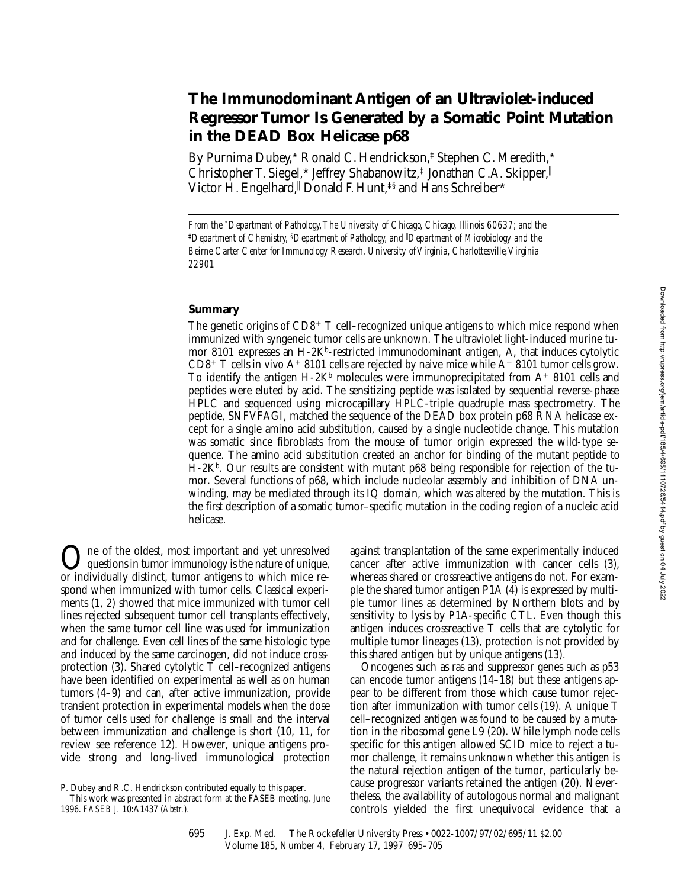By Purnima Dubey,\* Ronald C. Hendrickson,‡ Stephen C. Meredith,\* Christopher T. Siegel,\* Jeffrey Shabanowitz,<sup>‡</sup> Jonathan C.A. Skipper,<sup>∥</sup> Victor H. Engelhard,|| Donald F. Hunt,  $^{\ddagger 8}$  and Hans Schreiber\*

### **Summary**

The genetic origins of  $CD8^+$  T cell–recognized unique antigens to which mice respond when immunized with syngeneic tumor cells are unknown. The ultraviolet light-induced murine tumor 8101 expresses an  $H-2K<sup>b</sup>$ -restricted immunodominant antigen, A, that induces cytolytic  $CD8^+$  T cells in vivo A<sup>+</sup> 8101 cells are rejected by naive mice while A<sup>-</sup> 8101 tumor cells grow. To identify the antigen  $H-2K^b$  molecules were immunoprecipitated from  $A^+$  8101 cells and peptides were eluted by acid. The sensitizing peptide was isolated by sequential reverse-phase HPLC and sequenced using microcapillary HPLC-triple quadruple mass spectrometry. The peptide, SNFVFAGI, matched the sequence of the DEAD box protein p68 RNA helicase except for a single amino acid substitution, caused by a single nucleotide change. This mutation was somatic since fibroblasts from the mouse of tumor origin expressed the wild-type sequence. The amino acid substitution created an anchor for binding of the mutant peptide to  $H-2K<sup>b</sup>$ . Our results are consistent with mutant p68 being responsible for rejection of the tumor. Several functions of p68, which include nucleolar assembly and inhibition of DNA unwinding, may be mediated through its IQ domain, which was altered by the mutation. This is the first description of a somatic tumor–specific mutation in the coding region of a nucleic acid helicase.

ne of the oldest, most important and yet unresolved questions in tumor immunology is the nature of unique, or individually distinct, tumor antigens to which mice respond when immunized with tumor cells. Classical experiments (1, 2) showed that mice immunized with tumor cell lines rejected subsequent tumor cell transplants effectively, when the same tumor cell line was used for immunization and for challenge. Even cell lines of the same histologic type and induced by the same carcinogen, did not induce crossprotection (3). Shared cytolytic  $\overline{T}$  cell–recognized antigens have been identified on experimental as well as on human tumors (4–9) and can, after active immunization, provide transient protection in experimental models when the dose of tumor cells used for challenge is small and the interval between immunization and challenge is short (10, 11, for review see reference 12). However, unique antigens provide strong and long-lived immunological protection against transplantation of the same experimentally induced cancer after active immunization with cancer cells (3), whereas shared or crossreactive antigens do not. For example the shared tumor antigen P1A (4) is expressed by multiple tumor lines as determined by Northern blots and by sensitivity to lysis by P1A-specific CTL. Even though this antigen induces crossreactive T cells that are cytolytic for multiple tumor lineages (13), protection is not provided by this shared antigen but by unique antigens (13).

Oncogenes such as ras and suppressor genes such as p53 can encode tumor antigens (14–18) but these antigens appear to be different from those which cause tumor rejection after immunization with tumor cells (19). A unique T cell–recognized antigen was found to be caused by a mutation in the ribosomal gene L9 (20). While lymph node cells specific for this antigen allowed SCID mice to reject a tumor challenge, it remains unknown whether this antigen is the natural rejection antigen of the tumor, particularly because progressor variants retained the antigen (20). Nevertheless, the availability of autologous normal and malignant controls yielded the first unequivocal evidence that a

*From the \*Department of Pathology, The University of Chicago, Chicago, Illinois 60637; and the* **‡***Department of Chemistry,* §*Department of Pathology, and* <sup>i</sup> *Department of Microbiology and the Beirne Carter Center for Immunology Research, University of Virginia, Charlottesville, Virginia 22901*

P. Dubey and R.C. Hendrickson contributed equally to this paper.

This work was presented in abstract form at the FASEB meeting. June 1996. *FASEB J.* 10:A1437 (*Abstr.*).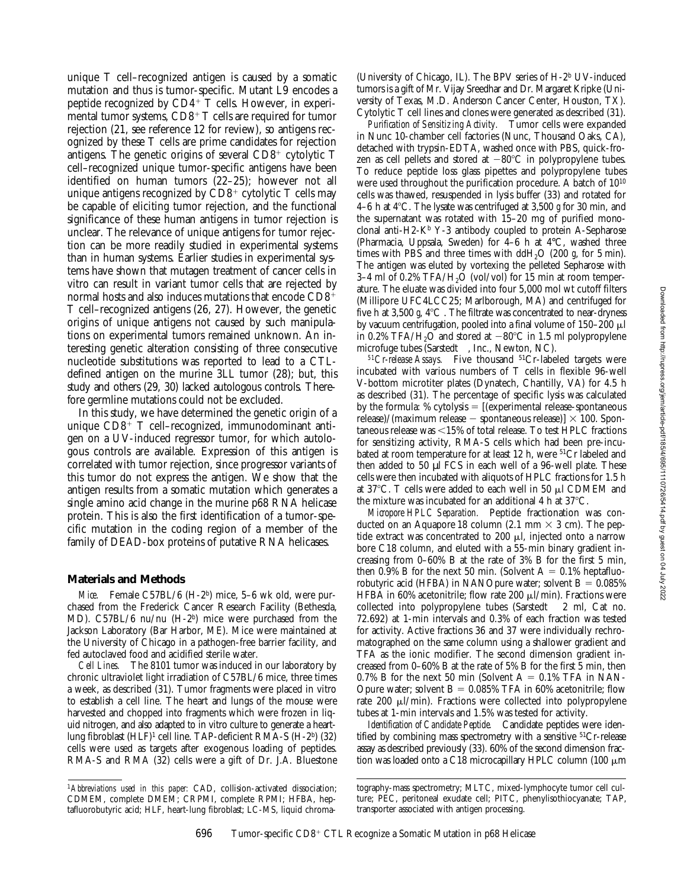unique T cell–recognized antigen is caused by a somatic mutation and thus is tumor-specific. Mutant L9 encodes a peptide recognized by  $CD4^+$  T cells. However, in experimental tumor systems,  $CD8+T$  cells are required for tumor rejection (21, see reference 12 for review), so antigens recognized by these T cells are prime candidates for rejection antigens. The genetic origins of several  $CD8<sup>+</sup>$  cytolytic T cell–recognized unique tumor-specific antigens have been identified on human tumors (22–25); however not all unique antigens recognized by  $CD8^+$  cytolytic T cells may be capable of eliciting tumor rejection, and the functional significance of these human antigens in tumor rejection is unclear. The relevance of unique antigens for tumor rejection can be more readily studied in experimental systems than in human systems. Earlier studies in experimental systems have shown that mutagen treatment of cancer cells in vitro can result in variant tumor cells that are rejected by normal hosts and also induces mutations that encode CD8<sup>+</sup> T cell–recognized antigens (26, 27). However, the genetic origins of unique antigens not caused by such manipulations on experimental tumors remained unknown. An interesting genetic alteration consisting of three consecutive nucleotide substitutions was reported to lead to a CTLdefined antigen on the murine 3LL tumor (28); but, this study and others (29, 30) lacked autologous controls. Therefore germline mutations could not be excluded.

In this study, we have determined the genetic origin of a unique  $CD8^+$  T cell–recognized, immunodominant antigen on a UV-induced regressor tumor, for which autologous controls are available. Expression of this antigen is correlated with tumor rejection, since progressor variants of this tumor do not express the antigen. We show that the antigen results from a somatic mutation which generates a single amino acid change in the murine p68 RNA helicase protein. This is also the first identification of a tumor-specific mutation in the coding region of a member of the family of DEAD-box proteins of putative RNA helicases.

# **Materials and Methods**

*Mice.* Female C57BL/6 (H-2<sup>b</sup>) mice, 5–6 wk old, were purchased from the Frederick Cancer Research Facility (Bethesda, MD). C57BL/6 nu/nu (H-2b) mice were purchased from the Jackson Laboratory (Bar Harbor, ME). Mice were maintained at the University of Chicago in a pathogen-free barrier facility, and fed autoclaved food and acidified sterile water.

*Cell Lines.* The 8101 tumor was induced in our laboratory by chronic ultraviolet light irradiation of C57BL/6 mice, three times a week, as described (31). Tumor fragments were placed in vitro to establish a cell line. The heart and lungs of the mouse were harvested and chopped into fragments which were frozen in liquid nitrogen, and also adapted to in vitro culture to generate a heartlung fibroblast (HLF)1 cell line. TAP-deficient RMA-S (H-2b) (32) cells were used as targets after exogenous loading of peptides. RMA-S and RMA (32) cells were a gift of Dr. J.A. Bluestone

(University of Chicago, IL). The BPV series of H-2b UV-induced tumors is a gift of Mr. Vijay Sreedhar and Dr. Margaret Kripke (University of Texas, M.D. Anderson Cancer Center, Houston, TX). Cytolytic T cell lines and clones were generated as described (31).

*Purification of Sensitizing Activity.* Tumor cells were expanded in Nunc 10-chamber cell factories (Nunc, Thousand Oaks, CA), detached with trypsin-EDTA, washed once with PBS, quick-frozen as cell pellets and stored at  $-80^{\circ}$ C in polypropylene tubes. To reduce peptide loss glass pipettes and polypropylene tubes were used throughout the purification procedure. A batch of 1010 cells was thawed, resuspended in lysis buffer (33) and rotated for 4–6 h at  $4^{\circ}$ C. The lysate was centrifuged at 3,500 g for 30 min, and the supernatant was rotated with 15–20 mg of purified monoclonal anti-H2-Kb Y-3 antibody coupled to protein A-Sepharose (Pharmacia, Uppsala, Sweden) for 4–6 h at 4°C, washed three times with PBS and three times with  $ddH_2O$  (200 *g*, for 5 min). The antigen was eluted by vortexing the pelleted Sepharose with 3–4 ml of 0.2% TFA/ $H_2O$  (vol/vol) for 15 min at room temperature. The eluate was divided into four 5,000 mol wt cutoff filters (Millipore UFC4LCC25; Marlborough, MA) and centrifuged for five h at  $3,500 \text{ g}$ ,  $4^{\circ}$ C. The filtrate was concentrated to near-dryness by vacuum centrifugation, pooled into a final volume of  $150-200 \mu l$ in 0.2% TFA/H<sub>2</sub>O and stored at  $-80^{\circ}$ C in 1.5 ml polypropylene microfuge tubes (Sarstedt™, Inc., Newton, NC).

*51Cr-release Assays.* Five thousand 51Cr-labeled targets were incubated with various numbers of T cells in flexible 96-well V-bottom microtiter plates (Dynatech, Chantilly, VA) for 4.5 h as described (31). The percentage of specific lysis was calculated by the formula: % cytolysis  $=$  [(experimental release-spontaneous release)/(maximum release  $-$  spontaneous release)]  $\times$  100. Spontaneous release was  $<$  15% of total release. To test HPLC fractions for sensitizing activity, RMA-S cells which had been pre-incubated at room temperature for at least 12 h, were <sup>51</sup>Cr labeled and then added to 50 µl FCS in each well of a 96-well plate. These cells were then incubated with aliquots of HPLC fractions for 1.5 h at  $37^{\circ}$ C. T cells were added to each well in 50  $\mu$ l CDMEM and the mixture was incubated for an additional 4 h at  $37^{\circ}$ C.

*Micropore HPLC Separation.* Peptide fractionation was conducted on an Aquapore 18 column (2.1 mm  $\times$  3 cm). The peptide extract was concentrated to 200  $\mu$ l, injected onto a narrow bore C18 column, and eluted with a 55-min binary gradient increasing from 0–60% B at the rate of 3% B for the first 5 min, then 0.9% B for the next 50 min. (Solvent  $A = 0.1\%$  heptafluorobutyric acid (HFBA) in NANOpure water; solvent  $B = 0.085\%$ HFBA in 60% acetonitrile; flow rate 200  $\mu$ l/min). Fractions were collected into polypropylene tubes (Sarstedt™ 2 ml, Cat no. 72.692) at 1-min intervals and 0.3% of each fraction was tested for activity. Active fractions 36 and 37 were individually rechromatographed on the same column using a shallower gradient and TFA as the ionic modifier. The second dimension gradient increased from 0–60% B at the rate of 5% B for the first 5 min, then 0.7% B for the next 50 min (Solvent  $A = 0.1\%$  TFA in NAN-Opure water; solvent  $B = 0.085\%$  TFA in 60% acetonitrile; flow rate  $200 \mu l/min$ . Fractions were collected into polypropylene tubes at 1-min intervals and 1.5% was tested for activity.

*Identification of Candidate Peptide.* Candidate peptides were identified by combining mass spectrometry with a sensitive 51Cr-release assay as described previously (33). 60% of the second dimension fraction was loaded onto a C18 microcapillary HPLC column (100  $\mu$ m

<sup>1</sup>*Abbreviations used in this paper:* CAD, collision-activated dissociation; CDMEM, complete DMEM; CRPMI, complete RPMI; HFBA, heptafluorobutyric acid; HLF, heart-lung fibroblast; LC-MS, liquid chroma-

tography-mass spectrometry; MLTC, mixed-lymphocyte tumor cell culture; PEC, peritoneal exudate cell; PITC, phenylisothiocyanate; TAP, transporter associated with antigen processing.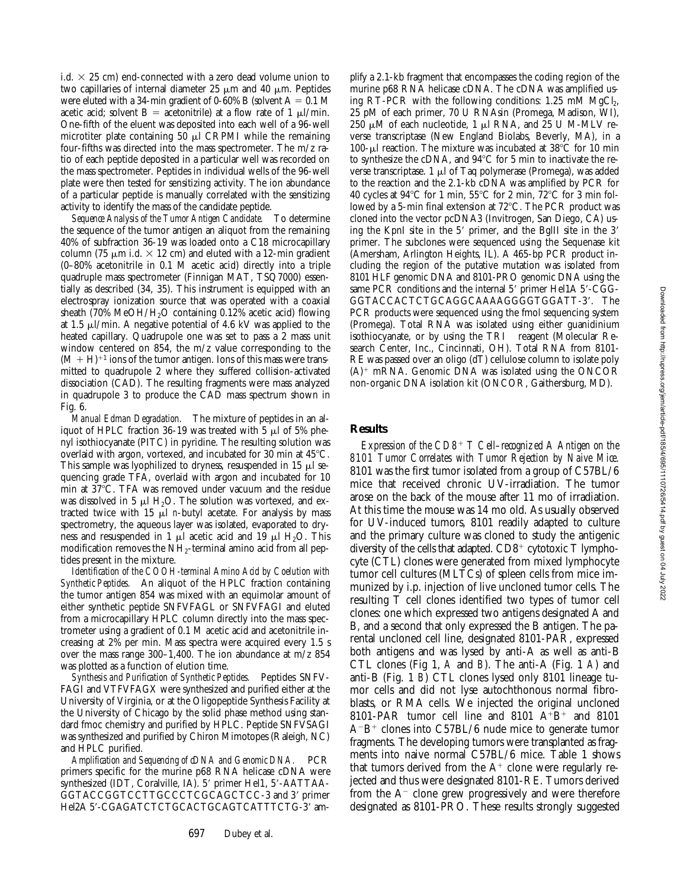i.d.  $\times$  25 cm) end-connected with a zero dead volume union to two capillaries of internal diameter  $25 \mu m$  and  $40 \mu m$ . Peptides were eluted with a 34-min gradient of 0-60% B (solvent  $A = 0.1 M$ acetic acid; solvent B = acetonitrile) at a flow rate of 1  $\mu$ l/min. One-fifth of the eluent was deposited into each well of a 96-well microtiter plate containing 50  $\mu$ l CRPMI while the remaining four-fifths was directed into the mass spectrometer. The m/z ratio of each peptide deposited in a particular well was recorded on the mass spectrometer. Peptides in individual wells of the 96-well plate were then tested for sensitizing activity. The ion abundance of a particular peptide is manually correlated with the sensitizing activity to identify the mass of the candidate peptide.

*Sequence Analysis of the Tumor Antigen Candidate.* To determine the sequence of the tumor antigen an aliquot from the remaining 40% of subfraction 36-19 was loaded onto a C18 microcapillary column (75  $\mu$ m i.d.  $\times$  12 cm) and eluted with a 12-min gradient (0–80% acetonitrile in 0.1 M acetic acid) directly into a triple quadruple mass spectrometer (Finnigan MAT, TSQ7000) essentially as described (34, 35). This instrument is equipped with an electrospray ionization source that was operated with a coaxial sheath (70% MeOH/H<sub>2</sub>O containing 0.12% acetic acid) flowing at 1.5  $\mu$ I/min. A negative potential of 4.6 kV was applied to the heated capillary. Quadrupole one was set to pass a 2 mass unit window centered on 854, the m/z value corresponding to the  $(M + H)^{+1}$  ions of the tumor antigen. Ions of this mass were transmitted to quadrupole 2 where they suffered collision-activated dissociation (CAD). The resulting fragments were mass analyzed in quadrupole 3 to produce the CAD mass spectrum shown in Fig. 6.

*Manual Edman Degradation.* The mixture of peptides in an aliquot of HPLC fraction 36-19 was treated with 5  $\mu$ l of 5% phenyl isothiocyanate (PITC) in pyridine. The resulting solution was overlaid with argon, vortexed, and incubated for 30 min at  $45^{\circ}$ C. This sample was lyophilized to dryness, resuspended in 15  $\mu$ l sequencing grade TFA, overlaid with argon and incubated for 10 min at  $37^{\circ}$ C. TFA was removed under vacuum and the residue was dissolved in 5  $\mu$ l H<sub>2</sub>O. The solution was vortexed, and extracted twice with 15  $\mu$ l *n*-butyl acetate. For analysis by mass spectrometry, the aqueous layer was isolated, evaporated to dryness and resuspended in 1  $\mu$ l acetic acid and 19  $\mu$ l H<sub>2</sub>O. This modification removes the  $NH_2$ -terminal amino acid from all peptides present in the mixture.

*Identification of the COOH-terminal Amino Acid by Coelution with Synthetic Peptides.* An aliquot of the HPLC fraction containing the tumor antigen 854 was mixed with an equimolar amount of either synthetic peptide SNFVFAGL or SNFVFAGI and eluted from a microcapillary HPLC column directly into the mass spectrometer using a gradient of 0.1 M acetic acid and acetonitrile increasing at 2% per min. Mass spectra were acquired every 1.5 s over the mass range 300–1,400. The ion abundance at m/z 854 was plotted as a function of elution time.

*Synthesis and Purification of Synthetic Peptides.* Peptides SNFV-FAGI and VTFVFAGX were synthesized and purified either at the University of Virginia, or at the Oligopeptide Synthesis Facility at the University of Chicago by the solid phase method using standard fmoc chemistry and purified by HPLC. Peptide SNFVSAGI was synthesized and purified by Chiron Mimotopes (Raleigh, NC) and HPLC purified.

*Amplification and Sequencing of cDNA and Genomic DNA.* PCR primers specific for the murine p68 RNA helicase cDNA were synthesized (IDT, Coralville, IA). 5' primer Hel1, 5'-AATTAA-GGTACCGGTCCTTGCCCTCGCAGCTCC-3 and 3' primer Hel2A 5'-CGAGATCTCTGCACTGCAGTCATTTCTG-3' amplify a 2.1-kb fragment that encompasses the coding region of the murine p68 RNA helicase cDNA. The cDNA was amplified using RT-PCR with the following conditions:  $1.25 \text{ mM } MgCl<sub>2</sub>$ , 25 pM of each primer, 70 U RNAsin (Promega, Madison, WI), 250  $\mu$ M of each nucleotide, 1  $\mu$ l RNA, and 25 U M-MLV reverse transcriptase (New England Biolabs, Beverly, MA), in a 100-µl reaction. The mixture was incubated at  $38^{\circ}$ C for 10 min to synthesize the cDNA, and  $94^{\circ}$ C for 5 min to inactivate the reverse transcriptase. 1  $\mu$ l of Taq polymerase (Promega), was added to the reaction and the 2.1-kb cDNA was amplified by PCR for 40 cycles at 94 $\degree$ C for 1 min, 55 $\degree$ C for 2 min, 72 $\degree$ C for 3 min followed by a 5-min final extension at  $72^{\circ}$ C. The PCR product was cloned into the vector pcDNA3 (Invitrogen, San Diego, CA) using the KpnI site in the 5' primer, and the BgIII site in the 3' primer. The subclones were sequenced using the Sequenase kit (Amersham, Arlington Heights, IL). A 465-bp PCR product including the region of the putative mutation was isolated from 8101 HLF genomic DNA and 8101-PRO genomic DNA using the same PCR conditions and the internal 5' primer Hel1A 5'-CGG-GGTACCACTCTGCAGGCAAAAGGGGTGGATT-3'. The PCR products were sequenced using the fmol sequencing system (Promega). Total RNA was isolated using either guanidinium isothiocyanate, or by using the TRITM reagent (Molecular Research Center, Inc., Cincinnati, OH). Total RNA from 8101-RE was passed over an oligo (dT) cellulose column to isolate poly  $(A)^+$  mRNA. Genomic DNA was isolated using the ONCOR non-organic DNA isolation kit (ONCOR, Gaithersburg, MD).

### **Results**

*Expression of the CD8*<sup>1</sup> *T Cell–recognized A Antigen on the 8101 Tumor Correlates with Tumor Rejection by Naive Mice.* 8101 was the first tumor isolated from a group of C57BL/6 mice that received chronic UV-irradiation. The tumor arose on the back of the mouse after 11 mo of irradiation. At this time the mouse was 14 mo old. As usually observed for UV-induced tumors, 8101 readily adapted to culture and the primary culture was cloned to study the antigenic diversity of the cells that adapted.  $CD8<sup>+</sup>$  cytotoxic T lymphocyte (CTL) clones were generated from mixed lymphocyte tumor cell cultures (MLTCs) of spleen cells from mice immunized by i.p. injection of live uncloned tumor cells. The resulting T cell clones identified two types of tumor cell clones: one which expressed two antigens designated A and B, and a second that only expressed the B antigen. The parental uncloned cell line, designated 8101-PAR, expressed both antigens and was lysed by anti-A as well as anti-B CTL clones (Fig 1, *A* and *B*). The anti-A (Fig. 1 *A*) and anti-B (Fig. 1 *B*) CTL clones lysed only 8101 lineage tumor cells and did not lyse autochthonous normal fibroblasts, or RMA cells. We injected the original uncloned 8101-PAR tumor cell line and 8101  $A+B^+$  and 8101  $A^{-}B^{+}$  clones into C57BL/6 nude mice to generate tumor fragments. The developing tumors were transplanted as fragments into naive normal C57BL/6 mice. Table 1 shows that tumors derived from the  $A^+$  clone were regularly rejected and thus were designated 8101-RE. Tumors derived from the  $A^-$  clone grew progressively and were therefore designated as 8101-PRO. These results strongly suggested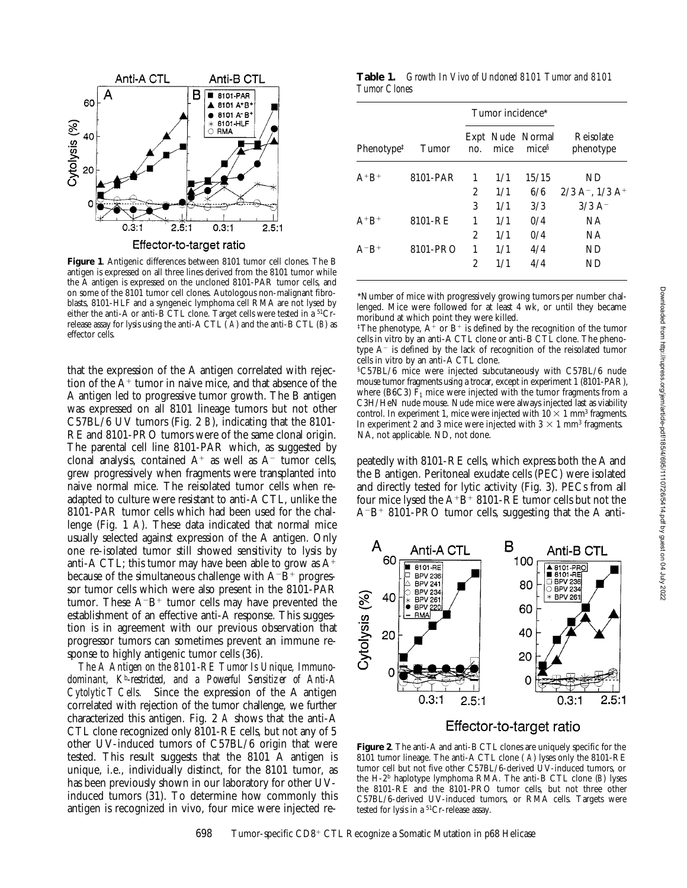

**Figure 1**. Antigenic differences between 8101 tumor cell clones. The B antigen is expressed on all three lines derived from the 8101 tumor while the A antigen is expressed on the uncloned 8101-PAR tumor cells, and on some of the 8101 tumor cell clones. Autologous non-malignant fibroblasts, 8101-HLF and a syngeneic lymphoma cell RMA are not lysed by either the anti-A or anti-B CTL clone. Target cells were tested in a <sup>51</sup>Crrelease assay for lysis using the anti-A CTL ( *A*) and the anti-B CTL (*B*) as effector cells.

that the expression of the A antigen correlated with rejection of the  $A<sup>+</sup>$  tumor in naive mice, and that absence of the A antigen led to progressive tumor growth. The B antigen was expressed on all 8101 lineage tumors but not other C57BL/6 UV tumors (Fig. 2 *B*), indicating that the 8101- RE and 8101-PRO tumors were of the same clonal origin. The parental cell line 8101-PAR which, as suggested by clonal analysis, contained  $A^+$  as well as  $A^-$  tumor cells, grew progressively when fragments were transplanted into naive normal mice. The reisolated tumor cells when readapted to culture were resistant to anti-A CTL, unlike the 8101-PAR tumor cells which had been used for the challenge (Fig. 1 *A*). These data indicated that normal mice usually selected against expression of the A antigen. Only one re-isolated tumor still showed sensitivity to lysis by anti-A CTL; this tumor may have been able to grow as  $A^+$ because of the simultaneous challenge with  $A-B^+$  progressor tumor cells which were also present in the 8101-PAR tumor. These  $A^{-}B^{+}$  tumor cells may have prevented the establishment of an effective anti-A response. This suggestion is in agreement with our previous observation that progressor tumors can sometimes prevent an immune response to highly antigenic tumor cells (36).

*The A Antigen on the 8101-RE Tumor Is Unique, Immunodominant, Kb -restricted, and a Powerful Sensitizer of Anti-A Cytolytic T Cells.* Since the expression of the A antigen correlated with rejection of the tumor challenge, we further characterized this antigen. Fig. 2 *A* shows that the anti-A CTL clone recognized only 8101-RE cells, but not any of 5 other UV-induced tumors of C57BL/6 origin that were tested. This result suggests that the 8101 A antigen is unique, i.e., individually distinct, for the 8101 tumor, as has been previously shown in our laboratory for other UVinduced tumors (31). To determine how commonly this antigen is recognized in vivo, four mice were injected re-

**Table 1.** *Growth In Vivo of Uncloned 8101 Tumor and 8101 Tumor Clones*

| Phenotype <sup>‡</sup> | Tumor    | Tumor incidence* |      |                                       |                                             |
|------------------------|----------|------------------|------|---------------------------------------|---------------------------------------------|
|                        |          | no.              | mice | Expt Nude Normal<br>mice <sup>§</sup> | Reisolate<br>phenotype                      |
| $A^+B^+$               | 8101-PAR | 1                | 1/1  | 15/15                                 | ND                                          |
|                        |          | 2                | 1/1  | 6/6                                   | $2/3$ A <sup>-</sup> , $1/3$ A <sup>+</sup> |
|                        |          | 3                | 1/1  | 3/3                                   | $3/3$ A <sup>-</sup>                        |
| $A^+B^+$               | 8101-RE  | 1                | 1/1  | 0/4                                   | ΝA                                          |
|                        |          | 2                | 1/1  | 0/4                                   | NA.                                         |
| $A^-B^+$               | 8101-PRO | 1                | 1/1  | 4/4                                   | ND                                          |
|                        |          | 2                | 1/1  | 4/4                                   | ND                                          |

\*Number of mice with progressively growing tumors per number challenged. Mice were followed for at least 4 wk, or until they became moribund at which point they were killed.

<sup>‡</sup>The phenotype,  $A^{\hat{+}}$  or  $B^{\hat{+}}$  is defined by the recognition of the tumor cells in vitro by an anti-A CTL clone or anti-B CTL clone. The phenotype  $A^-$  is defined by the lack of recognition of the reisolated tumor cells in vitro by an anti-A CTL clone.

§C57BL/6 mice were injected subcutaneously with C57BL/6 nude mouse tumor fragments using a trocar, except in experiment 1 (8101-PAR), where (B6C3)  $F_1$  mice were injected with the tumor fragments from a C3H/HeN nude mouse. Nude mice were always injected last as viability control. In experiment 1, mice were injected with  $10 \times 1$  mm<sup>3</sup> fragments. In experiment 2 and 3 mice were injected with  $3 \times 1$  mm<sup>3</sup> fragments. NA, not applicable. ND, not done.

peatedly with 8101-RE cells, which express both the A and the B antigen. Peritoneal exudate cells (PEC) were isolated and directly tested for lytic activity (Fig. 3). PECs from all four mice lysed the  $A+B+8101-RE$  tumor cells but not the  $A^{-}B^{+}$  8101-PRO tumor cells, suggesting that the A anti-



Effector-to-target ratio

**Figure 2**. The anti-A and anti-B CTL clones are uniquely specific for the 8101 tumor lineage. The anti-A CTL clone ( *A*) lyses only the 8101-RE tumor cell but not five other C57BL/6-derived UV-induced tumors, or the H-2b haplotype lymphoma RMA. The anti-B CTL clone (*B*) lyses the 8101-RE and the 8101-PRO tumor cells, but not three other C57BL/6-derived UV-induced tumors, or RMA cells. Targets were tested for lysis in a <sup>51</sup>Cr-release assay.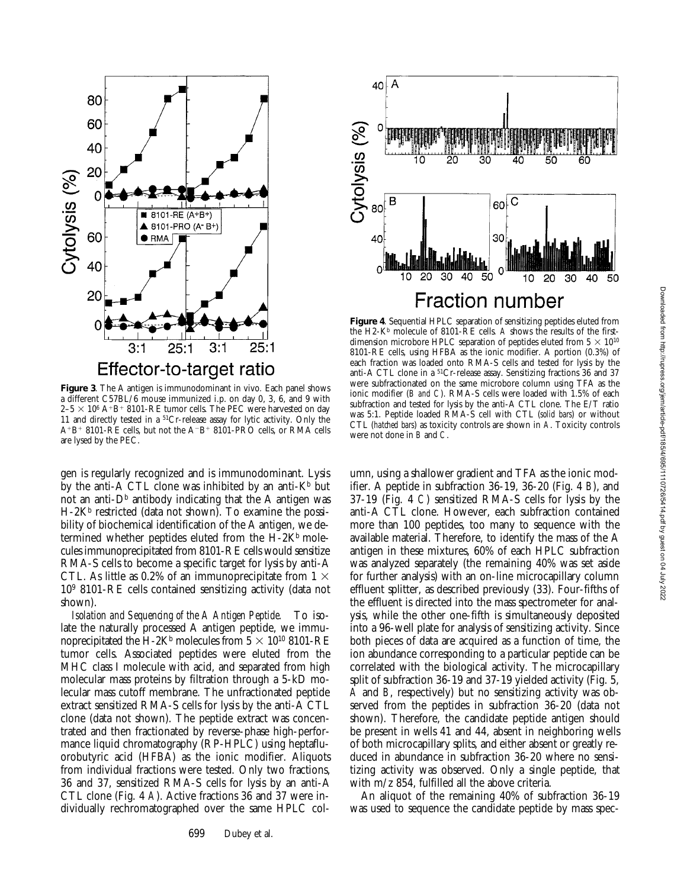

**Figure 3**. The A antigen is immunodominant in vivo*.* Each panel shows a different C57BL/6 mouse immunized i.p. on day 0, 3, 6, and 9 with  $2\text{--}5\times 10^6$  A+B+ 8101-RE tumor cells. The PEC were harvested on day 11 and directly tested in a 51Cr-release assay for lytic activity. Only the  $A+B+8101-RE$  cells, but not the  $A-B+8101-PRO$  cells, or RMA cells are lysed by the PEC.

gen is regularly recognized and is immunodominant. Lysis by the anti-A CTL clone was inhibited by an anti- $K^b$  but not an anti- $D<sup>b</sup>$  antibody indicating that the A antigen was  $H-2K<sup>b</sup>$  restricted (data not shown). To examine the possibility of biochemical identification of the A antigen, we determined whether peptides eluted from the  $H-2K^b$  molecules immunoprecipitated from 8101-RE cells would sensitize RMA-S cells to become a specific target for lysis by anti-A CTL. As little as 0.2% of an immunoprecipitate from  $1 \times$ 109 8101-RE cells contained sensitizing activity (data not shown).

*Isolation and Sequencing of the A Antigen Peptide.* To isolate the naturally processed A antigen peptide, we immunoprecipitated the H-2K<sup>b</sup> molecules from  $5 \times 10^{10}$  8101-RE tumor cells. Associated peptides were eluted from the MHC class I molecule with acid, and separated from high molecular mass proteins by filtration through a 5-kD molecular mass cutoff membrane. The unfractionated peptide extract sensitized RMA-S cells for lysis by the anti-A CTL clone (data not shown). The peptide extract was concentrated and then fractionated by reverse-phase high-performance liquid chromatography (RP-HPLC) using heptafluorobutyric acid (HFBA) as the ionic modifier. Aliquots from individual fractions were tested. Only two fractions, 36 and 37, sensitized RMA-S cells for lysis by an anti-A CTL clone (Fig. 4 *A*). Active fractions 36 and 37 were individually rechromatographed over the same HPLC col-



**Figure 4**. Sequential HPLC separation of sensitizing peptides eluted from the H2-Kb molecule of 8101-RE cells*. A* shows the results of the firstdimension microbore HPLC separation of peptides eluted from 5  $\times$   $10^{10}$ 8101-RE cells, using HFBA as the ionic modifier. A portion (0.3%) of each fraction was loaded onto RMA-S cells and tested for lysis by the anti-A CTL clone in a 51Cr-release assay. Sensitizing fractions 36 and 37 were subfractionated on the same microbore column using TFA as the ionic modifier (*B and C*). RMA-S cells were loaded with 1.5% of each subfraction and tested for lysis by the anti-A CTL clone. The E/T ratio was 5:1. Peptide loaded RMA-S cell with CTL (*solid bars*) or without CTL (*hatched bars*) as toxicity controls are shown in *A*. Toxicity controls were not done in *B* and *C*.

umn, using a shallower gradient and TFA as the ionic modifier. A peptide in subfraction 36-19, 36-20 (Fig. 4 *B*), and 37-19 (Fig. 4 *C*) sensitized RMA-S cells for lysis by the anti-A CTL clone. However, each subfraction contained more than 100 peptides, too many to sequence with the available material. Therefore, to identify the mass of the A antigen in these mixtures, 60% of each HPLC subfraction was analyzed separately (the remaining 40% was set aside for further analysis) with an on-line microcapillary column effluent splitter, as described previously (33). Four-fifths of the effluent is directed into the mass spectrometer for analysis, while the other one-fifth is simultaneously deposited into a 96-well plate for analysis of sensitizing activity. Since both pieces of data are acquired as a function of time, the ion abundance corresponding to a particular peptide can be correlated with the biological activity. The microcapillary split of subfraction 36-19 and 37-19 yielded activity (Fig. 5, *A* and *B*, respectively) but no sensitizing activity was observed from the peptides in subfraction 36-20 (data not shown). Therefore, the candidate peptide antigen should be present in wells 41 and 44, absent in neighboring wells of both microcapillary splits, and either absent or greatly reduced in abundance in subfraction 36-20 where no sensitizing activity was observed. Only a single peptide, that with m/z 854, fulfilled all the above criteria.

An aliquot of the remaining 40% of subfraction 36-19 was used to sequence the candidate peptide by mass spec-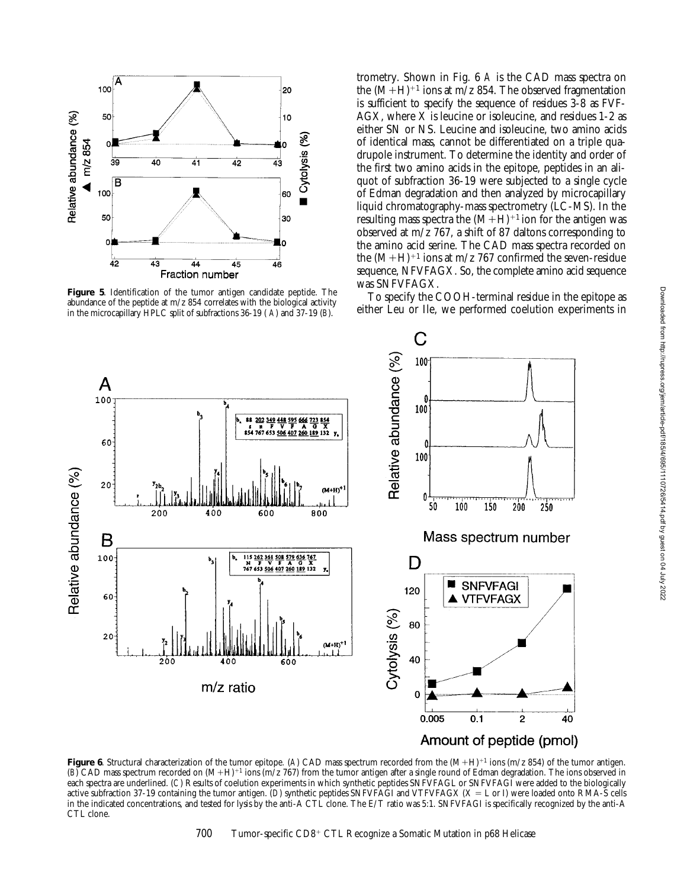

**Figure 5**. Identification of the tumor antigen candidate peptide. The abundance of the peptide at m/z 854 correlates with the biological activity in the microcapillary HPLC split of subfractions 36-19 ( *A*) and 37-19 (*B*).

trometry. Shown in Fig. 6 *A* is the CAD mass spectra on the  $(M+H)^{+1}$  ions at m/z 854. The observed fragmentation is sufficient to specify the sequence of residues 3-8 as FVF-AGX, where X is leucine or isoleucine, and residues 1-2 as either SN or NS. Leucine and isoleucine, two amino acids of identical mass, cannot be differentiated on a triple quadrupole instrument. To determine the identity and order of the first two amino acids in the epitope, peptides in an aliquot of subfraction 36-19 were subjected to a single cycle of Edman degradation and then analyzed by microcapillary liquid chromatography-mass spectrometry (LC-MS). In the resulting mass spectra the  $(M+H)^{+1}$  ion for the antigen was observed at m/z 767, a shift of 87 daltons corresponding to the amino acid serine. The CAD mass spectra recorded on the  $(M+H)^{+1}$  ions at m/z 767 confirmed the seven-residue sequence, NFVFAGX. So, the complete amino acid sequence was SNFVFAGX.

To specify the COOH-terminal residue in the epitope as either Leu or Ile, we performed coelution experiments in



**Figure 6**. Structural characterization of the tumor epitope. (A) CAD mass spectrum recorded from the  $(M+H)^{+1}$  ions  $(m/z 854)$  of the tumor antigen.  $(B)$  CAD mass spectrum recorded on  $(M+H)^{+1}$  ions  $(m/z 767)$  from the tumor antigen after a single round of Edman degradation. The ions observed in each spectra are underlined. (*C*) Results of coelution experiments in which synthetic peptides SNFVFAGL or SNFVFAGI were added to the biologically active subfraction 37-19 containing the tumor antigen. (D) synthetic peptides SNFVFAGI and VTFVFAGX (X = L or I) were loaded onto RMA-S cells in the indicated concentrations, and tested for lysis by the anti-A CTL clone. The E/T ratio was 5:1. SNFVFAGI is specifically recognized by the anti-A CTL clone.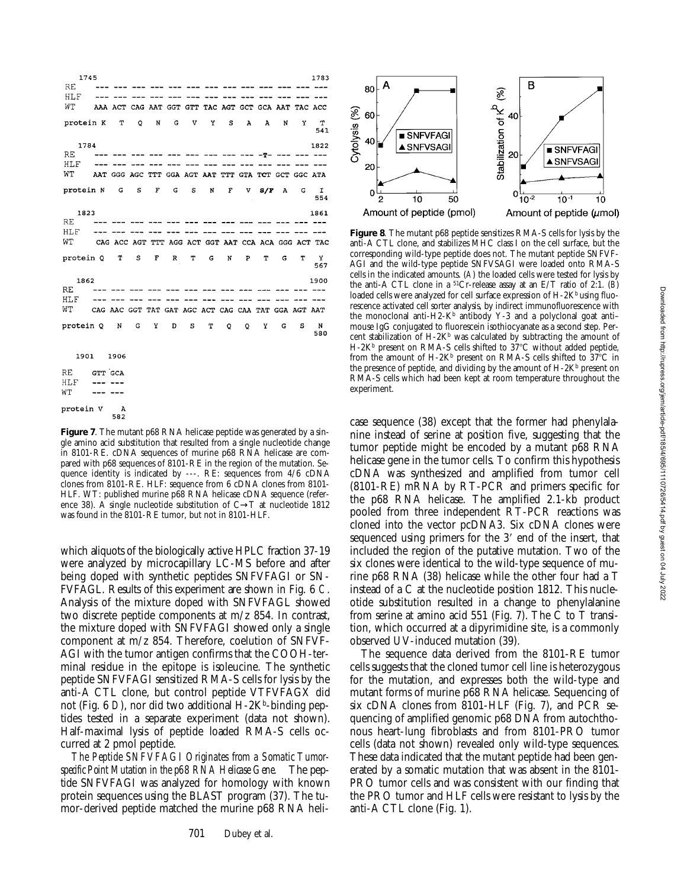1745 1783 **RE** HLF  $-- \overline{a}$  $-$ -- $-$ -- $-- -$ - $-$ WT AAA ACT CAG AAT GGT GTT TAC AGT GCT GCA AAT TAC ACC  $\mathbf{r}$ protein K Ń Ġ,  $\circ$ y s  $\lambda$  $\Delta$  $541$ 1784 1822  $RE$  $-T ---$ HLF  $-- -- \frac{1}{2}$ WT AAT GGG AGC TTT GGA AGT AAT TTT GTA TCT GCT GGC ATA protein N G s  $\overline{F}$ G s N  $\overline{F}$  $\overline{\mathbf{v}}$  $S/F$  $\lambda$ G 554 1823 1861  $\mathbb{RE}$ **HLF**  $-$ WT CAG ACC AGT TTT AGG ACT GGT AAT CCA  $\sf{ACA}$ GGG ACT TAC protein 0 T s  $\overline{F}$  $\overline{R}$ T G  $\overline{N}$  $\overline{P}$ T G 567 1900 1862  $RE$ HLF WТ CAG AAC GGT TAT GAT AGC ACT CAG CAA TAT GGA AGT AAT protein Q N G Y D s  $\mathbf T$  $\circ$  $\circ$ Y G N 580 1901 1906  $\mathbb{R}\mathbb{E}$ GTT GCA HLF WT  $\begin{array}{ccc}\n- & - & - \\
- & - & - \\
\end{array}$ protein V Α 582

**Figure 7**. The mutant p68 RNA helicase peptide was generated by a single amino acid substitution that resulted from a single nucleotide change in 8101-RE. cDNA sequences of murine p68 RNA helicase are compared with p68 sequences of 8101-RE in the region of the mutation. Sequence identity is indicated by ---. RE: sequences from 4/6 cDNA clones from 8101-RE. HLF: sequence from 6 cDNA clones from 8101- HLF. WT: published murine p68 RNA helicase cDNA sequence (reference 38). A single nucleotide substitution of C→T at nucleotide 1812 was found in the 8101-RE tumor, but not in 8101-HLF.

which aliquots of the biologically active HPLC fraction 37-19 were analyzed by microcapillary LC-MS before and after being doped with synthetic peptides SNFVFAGI or SN-FVFAGL. Results of this experiment are shown in Fig. 6 *C*. Analysis of the mixture doped with SNFVFAGL showed two discrete peptide components at m/z 854. In contrast, the mixture doped with SNFVFAGI showed only a single component at m/z 854. Therefore, coelution of SNFVF-AGI with the tumor antigen confirms that the COOH-terminal residue in the epitope is isoleucine. The synthetic peptide SNFVFAGI sensitized RMA-S cells for lysis by the anti-A CTL clone, but control peptide VTFVFAGX did not (Fig.  $6$  *D*), nor did two additional H-2K<sup>b</sup>-binding peptides tested in a separate experiment (data not shown). Half-maximal lysis of peptide loaded RMA-S cells occurred at 2 pmol peptide.

*The Peptide SNFVFAGI Originates from a Somatic Tumorspecific Point Mutation in the p68 RNA Helicase Gene.* The peptide SNFVFAGI was analyzed for homology with known protein sequences using the BLAST program (37). The tumor-derived peptide matched the murine p68 RNA heli-



**Figure 8**. The mutant p68 peptide sensitizes RMA-S cells for lysis by the anti-A CTL clone, and stabilizes MHC class I on the cell surface, but the corresponding wild-type peptide does not. The mutant peptide SNFVF-AGI and the wild-type peptide SNFVSAGI were loaded onto RMA-S cells in the indicated amounts. (*A*) the loaded cells were tested for lysis by the anti-A CTL clone in a <sup>51</sup>Cr-release assay at an E/T ratio of 2:1. (*B*) loaded cells were analyzed for cell surface expression of H-2Kb using fluorescence activated cell sorter analysis, by indirect immunofluorescence with the monoclonal anti-H2-K<sup>b</sup> antibody Y-3 and a polyclonal goat antimouse IgG conjugated to fluorescein isothiocyanate as a second step. Percent stabilization of  $H-2K^b$  was calculated by subtracting the amount of H-2K<sup>b</sup> present on RMA-S cells shifted to  $37^{\circ}$ C without added peptide, from the amount of H-2Kb present on RMA-S cells shifted to  $37^{\circ}$ C in the presence of peptide, and dividing by the amount of  $H-2K^b$  present on RMA-S cells which had been kept at room temperature throughout the experiment.

case sequence (38) except that the former had phenylalanine instead of serine at position five, suggesting that the tumor peptide might be encoded by a mutant p68 RNA helicase gene in the tumor cells. To confirm this hypothesis cDNA was synthesized and amplified from tumor cell (8101-RE) mRNA by RT-PCR and primers specific for the p68 RNA helicase. The amplified 2.1-kb product pooled from three independent RT-PCR reactions was cloned into the vector pcDNA3. Six cDNA clones were sequenced using primers for the 3' end of the insert, that included the region of the putative mutation. Two of the six clones were identical to the wild-type sequence of murine p68 RNA (38) helicase while the other four had a T instead of a C at the nucleotide position 1812. This nucleotide substitution resulted in a change to phenylalanine from serine at amino acid 551 (Fig. 7). The C to T transition, which occurred at a dipyrimidine site, is a commonly observed UV-induced mutation (39).

The sequence data derived from the 8101-RE tumor cells suggests that the cloned tumor cell line is heterozygous for the mutation, and expresses both the wild-type and mutant forms of murine p68 RNA helicase. Sequencing of six cDNA clones from 8101-HLF (Fig. 7), and PCR sequencing of amplified genomic p68 DNA from autochthonous heart-lung fibroblasts and from 8101-PRO tumor cells (data not shown) revealed only wild-type sequences. These data indicated that the mutant peptide had been generated by a somatic mutation that was absent in the 8101- PRO tumor cells and was consistent with our finding that the PRO tumor and HLF cells were resistant to lysis by the anti-A CTL clone (Fig. 1).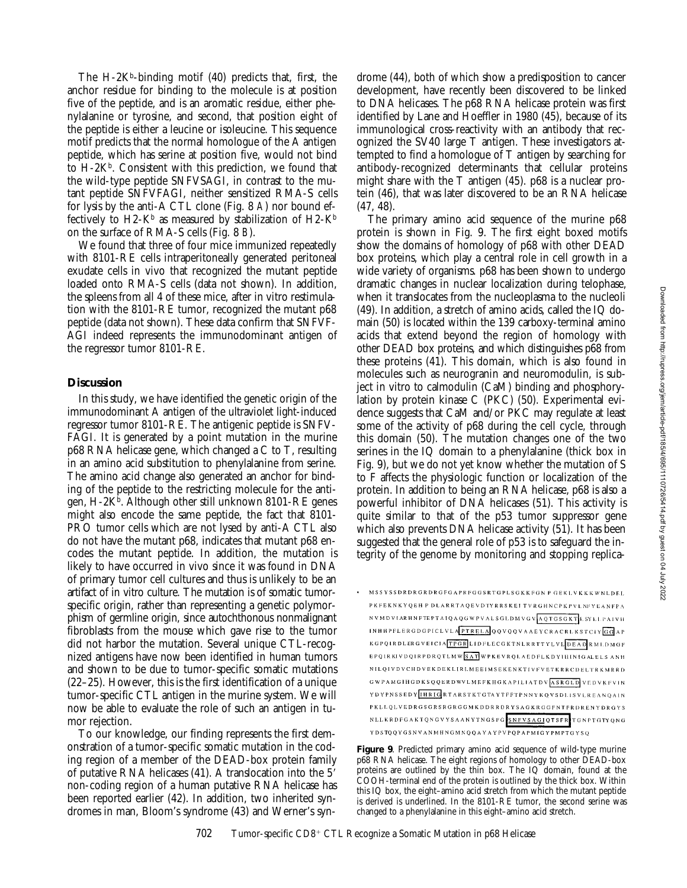The  $H-2K^b$ -binding motif (40) predicts that, first, the anchor residue for binding to the molecule is at position five of the peptide, and is an aromatic residue, either phenylalanine or tyrosine, and second, that position eight of the peptide is either a leucine or isoleucine. This sequence motif predicts that the normal homologue of the A antigen peptide, which has serine at position five, would not bind to  $H-2K^b$ . Consistent with this prediction, we found that the wild-type peptide SNFVSAGI, in contrast to the mutant peptide SNFVFAGI, neither sensitized RMA-S cells for lysis by the anti-A CTL clone (Fig. 8 *A*) nor bound effectively to H2- $K^b$  as measured by stabilization of H2- $K^b$ on the surface of RMA-S cells (Fig. 8 *B*).

We found that three of four mice immunized repeatedly with 8101-RE cells intraperitoneally generated peritoneal exudate cells in vivo that recognized the mutant peptide loaded onto RMA-S cells (data not shown). In addition, the spleens from all 4 of these mice, after in vitro restimulation with the 8101-RE tumor, recognized the mutant p68 peptide (data not shown). These data confirm that SNFVF-AGI indeed represents the immunodominant antigen of the regressor tumor 8101-RE.

# **Discussion**

In this study, we have identified the genetic origin of the immunodominant A antigen of the ultraviolet light-induced regressor tumor 8101-RE. The antigenic peptide is SNFV-FAGI. It is generated by a point mutation in the murine p68 RNA helicase gene, which changed a C to T, resulting in an amino acid substitution to phenylalanine from serine. The amino acid change also generated an anchor for binding of the peptide to the restricting molecule for the antigen,  $H-2K^b$ . Although other still unknown 8101-RE genes might also encode the same peptide, the fact that 8101- PRO tumor cells which are not lysed by anti-A CTL also do not have the mutant p68, indicates that mutant p68 encodes the mutant peptide. In addition, the mutation is likely to have occurred in vivo since it was found in DNA of primary tumor cell cultures and thus is unlikely to be an artifact of in vitro culture. The mutation is of somatic tumorspecific origin, rather than representing a genetic polymorphism of germline origin, since autochthonous nonmalignant fibroblasts from the mouse which gave rise to the tumor did not harbor the mutation. Several unique CTL-recognized antigens have now been identified in human tumors and shown to be due to tumor-specific somatic mutations (22–25). However, this is the first identification of a unique tumor-specific CTL antigen in the murine system. We will now be able to evaluate the role of such an antigen in tumor rejection.

To our knowledge, our finding represents the first demonstration of a tumor-specific somatic mutation in the coding region of a member of the DEAD-box protein family of putative RNA helicases  $(41)$ . A translocation into the 5' non-coding region of a human putative RNA helicase has been reported earlier (42). In addition, two inherited syndromes in man, Bloom's syndrome (43) and Werner's syndrome (44), both of which show a predisposition to cancer development, have recently been discovered to be linked to DNA helicases. The p68 RNA helicase protein was first identified by Lane and Hoeffler in 1980 (45), because of its immunological cross-reactivity with an antibody that recognized the SV40 large T antigen. These investigators attempted to find a homologue of T antigen by searching for antibody-recognized determinants that cellular proteins might share with the T antigen (45). p68 is a nuclear protein (46), that was later discovered to be an RNA helicase (47, 48).

The primary amino acid sequence of the murine p68 protein is shown in Fig. 9. The first eight boxed motifs show the domains of homology of p68 with other DEAD box proteins, which play a central role in cell growth in a wide variety of organisms. p68 has been shown to undergo dramatic changes in nuclear localization during telophase, when it translocates from the nucleoplasma to the nucleoli (49). In addition, a stretch of amino acids, called the IQ domain (50) is located within the 139 carboxy-terminal amino acids that extend beyond the region of homology with other DEAD box proteins, and which distinguishes p68 from these proteins (41). This domain, which is also found in molecules such as neurogranin and neuromodulin, is subject in vitro to calmodulin (CaM) binding and phosphorylation by protein kinase C (PKC) (50). Experimental evidence suggests that CaM and/or PKC may regulate at least some of the activity of p68 during the cell cycle, through this domain (50). The mutation changes one of the two serines in the IQ domain to a phenylalanine (thick box in Fig. 9), but we do not yet know whether the mutation of S to F affects the physiologic function or localization of the protein. In addition to being an RNA helicase, p68 is also a powerful inhibitor of DNA helicases (51). This activity is quite similar to that of the p53 tumor suppressor gene which also prevents DNA helicase activity (51). It has been suggested that the general role of p53 is to safeguard the integrity of the genome by monitoring and stopping replica-



**Figure 9**. Predicted primary amino acid sequence of wild-type murine p68 RNA helicase. The eight regions of homology to other DEAD-box proteins are outlined by the thin box. The IQ domain, found at the COOH-terminal end of the protein is outlined by the thick box. Within this IQ box, the eight–amino acid stretch from which the mutant peptide is derived is underlined. In the 8101-RE tumor, the second serine was changed to a phenylalanine in this eight–amino acid stretch.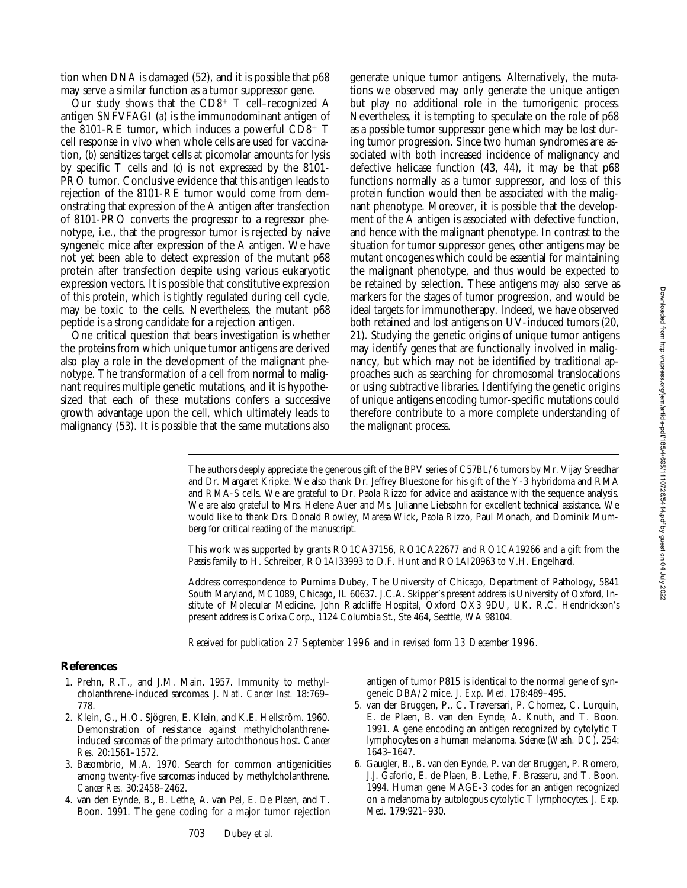tion when DNA is damaged (52), and it is possible that p68 may serve a similar function as a tumor suppressor gene.

Our study shows that the  $CD8^+$  T cell–recognized A antigen SNFVFAGI (*a*) is the immunodominant antigen of the 8101-RE tumor, which induces a powerful  $CD8^+$  T cell response in vivo when whole cells are used for vaccination, (*b*) sensitizes target cells at picomolar amounts for lysis by specific T cells and (*c*) is not expressed by the 8101- PRO tumor. Conclusive evidence that this antigen leads to rejection of the 8101-RE tumor would come from demonstrating that expression of the A antigen after transfection of 8101-PRO converts the progressor to a regressor phenotype, i.e., that the progressor tumor is rejected by naive syngeneic mice after expression of the A antigen. We have not yet been able to detect expression of the mutant p68 protein after transfection despite using various eukaryotic expression vectors. It is possible that constitutive expression of this protein, which is tightly regulated during cell cycle, may be toxic to the cells. Nevertheless, the mutant p68 peptide is a strong candidate for a rejection antigen.

One critical question that bears investigation is whether the proteins from which unique tumor antigens are derived also play a role in the development of the malignant phenotype. The transformation of a cell from normal to malignant requires multiple genetic mutations, and it is hypothesized that each of these mutations confers a successive growth advantage upon the cell, which ultimately leads to malignancy (53). It is possible that the same mutations also

generate unique tumor antigens. Alternatively, the mutations we observed may only generate the unique antigen but play no additional role in the tumorigenic process. Nevertheless, it is tempting to speculate on the role of p68 as a possible tumor suppressor gene which may be lost during tumor progression. Since two human syndromes are associated with both increased incidence of malignancy and defective helicase function (43, 44), it may be that p68 functions normally as a tumor suppressor, and loss of this protein function would then be associated with the malignant phenotype. Moreover, it is possible that the development of the A antigen is associated with defective function, and hence with the malignant phenotype. In contrast to the situation for tumor suppressor genes, other antigens may be mutant oncogenes which could be essential for maintaining the malignant phenotype, and thus would be expected to be retained by selection. These antigens may also serve as markers for the stages of tumor progression, and would be ideal targets for immunotherapy. Indeed, we have observed both retained and lost antigens on UV-induced tumors (20, 21). Studying the genetic origins of unique tumor antigens may identify genes that are functionally involved in malignancy, but which may not be identified by traditional approaches such as searching for chromosomal translocations or using subtractive libraries. Identifying the genetic origins of unique antigens encoding tumor-specific mutations could therefore contribute to a more complete understanding of the malignant process.

The authors deeply appreciate the generous gift of the BPV series of C57BL/6 tumors by Mr. Vijay Sreedhar and Dr. Margaret Kripke. We also thank Dr. Jeffrey Bluestone for his gift of the Y-3 hybridoma and RMA and RMA-S cells. We are grateful to Dr. Paola Rizzo for advice and assistance with the sequence analysis. We are also grateful to Mrs. Helene Auer and Ms. Julianne Liebsohn for excellent technical assistance. We would like to thank Drs. Donald Rowley, Maresa Wick, Paola Rizzo, Paul Monach, and Dominik Mumberg for critical reading of the manuscript.

This work was supported by grants RO1CA37156, RO1CA22677 and RO1CA19266 and a gift from the Passis family to H. Schreiber, RO1AI33993 to D.F. Hunt and RO1AI20963 to V.H. Engelhard.

Address correspondence to Purnima Dubey, The University of Chicago, Department of Pathology, 5841 South Maryland, MC1089, Chicago, IL 60637. J.C.A. Skipper's present address is University of Oxford, Institute of Molecular Medicine, John Radcliffe Hospital, Oxford OX3 9DU, UK. R.C. Hendrickson's present address is Corixa Corp., 1124 Columbia St., Ste 464, Seattle, WA 98104.

*Received for publication 27 September 1996 and in revised form 13 December 1996.*

#### **References**

- 1. Prehn, R.T., and J.M. Main. 1957. Immunity to methylcholanthrene-induced sarcomas. *J. Natl. Cancer Inst.* 18:769– 778.
- 2. Klein, G., H.O. Sjögren, E. Klein, and K.E. Hellström. 1960. Demonstration of resistance against methylcholanthreneinduced sarcomas of the primary autochthonous host. *Cancer Res.* 20:1561–1572.
- 3. Basombrio, M.A. 1970. Search for common antigenicities among twenty-five sarcomas induced by methylcholanthrene. *Cancer Res.* 30:2458–2462.
- 4. van den Eynde, B., B. Lethe, A. van Pel, E. De Plaen, and T. Boon. 1991. The gene coding for a major tumor rejection

antigen of tumor P815 is identical to the normal gene of syngeneic DBA/2 mice. *J. Exp. Med.* 178:489–495.

- 5. van der Bruggen, P., C. Traversari, P. Chomez, C. Lurquin, E. de Plaen, B. van den Eynde*,* A. Knuth, and T. Boon. 1991. A gene encoding an antigen recognized by cytolytic T lymphocytes on a human melanoma. *Science (Wash. DC)*. 254: 1643–1647.
- 6. Gaugler, B., B. van den Eynde, P. van der Bruggen, P. Romero, J.J. Gaforio, E. de Plaen, B. Lethe, F. Brasseru, and T. Boon. 1994. Human gene MAGE-3 codes for an antigen recognized on a melanoma by autologous cytolytic T lymphocytes. *J. Exp. Med.* 179:921–930.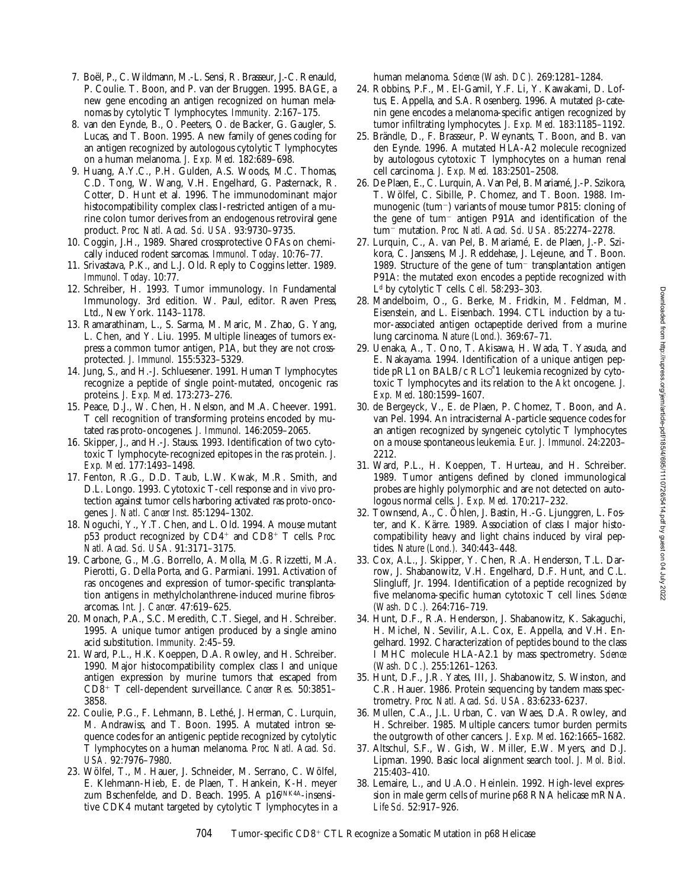- 7. Boël, P., C. Wildmann, M.-L. Sensi, R. Brasseur, J.-C. Renauld, P. Coulie. T. Boon, and P. van der Bruggen. 1995. BAGE, a new gene encoding an antigen recognized on human melanomas by cytolytic T lymphocytes. *Immunity.* 2:167–175.
- 8. van den Eynde, B., O. Peeters, O. de Backer, G. Gaugler, S. Lucas, and T. Boon. 1995. A new family of genes coding for an antigen recognized by autologous cytolytic T lymphocytes on a human melanoma. *J. Exp. Med.* 182:689–698.
- 9. Huang, A.Y.C., P.H. Gulden, A.S. Woods, M.C. Thomas, C.D. Tong, W. Wang, V.H. Engelhard, G. Pasternack, R. Cotter, D. Hunt et al. 1996. The immunodominant major histocompatibility complex class I-restricted antigen of a murine colon tumor derives from an endogenous retroviral gene product. *Proc. Natl. Acad. Sci. USA.* 93:9730–9735.
- 10. Coggin, J.H., 1989. Shared crossprotective OFAs on chemically induced rodent sarcomas. *Immunol. Today*. 10:76–77.
- 11. Srivastava, P.K., and L.J. Old. Reply to Coggins letter. 1989. *Immunol. Today*. 10:77.
- 12. Schreiber, H. 1993. Tumor immunology. *In* Fundamental Immunology. 3rd edition. W. Paul, editor. Raven Press, Ltd., New York. 1143–1178.
- 13. Ramarathinam, L., S. Sarma, M. Maric, M. Zhao, G. Yang, L. Chen, and Y. Liu. 1995. Multiple lineages of tumors express a common tumor antigen, P1A, but they are not crossprotected*. J. Immunol.* 155:5323–5329.
- 14. Jung, S., and H.-J. Schluesener. 1991. Human T lymphocytes recognize a peptide of single point-mutated, oncogenic ras proteins. *J. Exp. Med*. 173:273–276.
- 15. Peace, D.J., W. Chen, H. Nelson, and M.A. Cheever. 1991. T cell recognition of transforming proteins encoded by mutated ras proto-oncogenes. *J. Immunol.* 146:2059–2065.
- 16. Skipper, J., and H.-J. Stauss. 1993. Identification of two cytotoxic T lymphocyte-recognized epitopes in the ras protein. *J. Exp. Med*. 177:1493–1498.
- 17. Fenton, R.G., D.D. Taub, L.W. Kwak, M.R. Smith, and D.L. Longo. 1993. Cytotoxic T-cell response and *in vivo* protection against tumor cells harboring activated ras proto-oncogenes. *J. Natl. Cancer Inst*. 85:1294–1302.
- 18. Noguchi, Y., Y.T. Chen, and L. Old. 1994. A mouse mutant p53 product recognized by CD4<sup>+</sup> and CD8<sup>+</sup> T cells. *Proc. Natl. Acad. Sci. USA*. 91:3171–3175.
- 19. Carbone, G., M.G. Borrello, A. Molla, M.G. Rizzetti, M.A. Pierotti, G. Della Porta, and G. Parmiani. 1991. Activation of ras oncogenes and expression of tumor-specific transplantation antigens in methylcholanthrene-induced murine fibrosarcomas. *Int. J. Cancer.* 47:619–625.
- 20. Monach, P.A., S.C. Meredith, C.T. Siegel, and H. Schreiber. 1995. A unique tumor antigen produced by a single amino acid substitution. *Immunity.* 2:45–59.
- 21. Ward, P.L., H.K. Koeppen, D.A. Rowley, and H. Schreiber. 1990. Major histocompatibility complex class I and unique antigen expression by murine tumors that escaped from CD8<sup>1</sup> T cell-dependent surveillance. *Cancer Res.* 50:3851– 3858.
- 22. Coulie, P.G., F. Lehmann, B. Lethé, J. Herman, C. Lurquin, M. Andrawiss, and T. Boon. 1995. A mutated intron sequence codes for an antigenic peptide recognized by cytolytic T lymphocytes on a human melanoma. *Proc. Natl. Acad. Sci. USA.* 92:7976–7980.
- 23. Wölfel, T., M. Hauer, J. Schneider, M. Serrano, C. Wölfel, E. Klehmann-Hieb, E. de Plaen, T. Hankein, K-H. meyer zum Bschenfelde, and D. Beach. 1995. A p16INK4A-insensitive CDK4 mutant targeted by cytolytic T lymphocytes in a

human melanoma. *Science (Wash. DC).* 269:1281–1284.

- 24. Robbins, P.F., M. El-Gamil, Y.F. Li, Y. Kawakami, D. Loftus, E. Appella, and S.A. Rosenberg. 1996. A mutated  $\beta$ -catenin gene encodes a melanoma-specific antigen recognized by tumor infiltrating lymphocytes. *J. Exp. Med.* 183:1185–1192.
- 25. Brändle, D., F. Brasseur, P. Weynants, T. Boon, and B. van den Eynde. 1996. A mutated HLA-A2 molecule recognized by autologous cytotoxic T lymphocytes on a human renal cell carcinoma. *J. Exp. Med.* 183:2501–2508.
- 26. De Plaen, E., C. Lurquin, A. Van Pel, B. Mariamé, J.-P. Szikora, T. Wölfel, C. Sibille, P. Chomez, and T. Boon. 1988. Immunogenic (tum<sup>-</sup>) variants of mouse tumor P815: cloning of the gene of tum<sup>-</sup> antigen P91A and identification of the tum<sup>2</sup> mutation. *Proc. Natl. Acad. Sci. USA.* 85:2274–2278.
- 27. Lurquin, C., A. van Pel, B. Mariamé, E. de Plaen, J.-P. Szikora, C. Janssens, M.J. Reddehase, J. Lejeune, and T. Boon. 1989. Structure of the gene of tum<sup>-</sup> transplantation antigen P91A: the mutated exon encodes a peptide recognized with Ld by cytolytic T cells. *Cell.* 58:293–303.
- 28. Mandelboim, O., G. Berke, M. Fridkin, M. Feldman, M. Eisenstein, and L. Eisenbach. 1994. CTL induction by a tumor-associated antigen octapeptide derived from a murine lung carcinoma. *Nature (Lond.).* 369:67–71.
- 29. Uenaka, A., T. Ono, T. Akisawa, H. Wada, T. Yasuda, and E. Nakayama. 1994. Identification of a unique antigen peptide pRL1 on BALB/c  $RLO<sup>1</sup>$  leukemia recognized by cytotoxic T lymphocytes and its relation to the *Akt* oncogene. *J. Exp. Med*. 180:1599–1607.
- 30. de Bergeyck, V., E. de Plaen, P. Chomez, T. Boon, and A. van Pel. 1994. An intracisternal A-particle sequence codes for an antigen recognized by syngeneic cytolytic T lymphocytes on a mouse spontaneous leukemia. *Eur. J. Immunol*. 24:2203– 2212.
- 31. Ward, P.L., H. Koeppen, T. Hurteau, and H. Schreiber. 1989. Tumor antigens defined by cloned immunological probes are highly polymorphic and are not detected on autologous normal cells. *J. Exp. Med.* 170:217–232.
- 32. Townsend, A., C. Öhlen, J. Bastin, H.-G. Ljunggren, L. Foster, and K. Kärre. 1989. Association of class I major histocompatibility heavy and light chains induced by viral peptides. *Nature (Lond.).* 340:443–448.
- 33. Cox, A.L., J. Skipper, Y. Chen, R.A. Henderson, T.L. Darrow, J. Shabanowitz, V.H. Engelhard, D.F. Hunt, and C.L. Slingluff, Jr. 1994. Identification of a peptide recognized by five melanoma-specific human cytotoxic T cell lines. *Science (Wash. DC.).* 264:716–719.
- 34. Hunt, D.F., R.A. Henderson, J. Shabanowitz, K. Sakaguchi, H. Michel, N. Sevilir, A.L. Cox, E. Appella, and V.H. Engelhard. 1992. Characterization of peptides bound to the class I MHC molecule HLA-A2.1 by mass spectrometry. *Science (Wash. DC.)*. 255:1261–1263.
- 35. Hunt, D.F., J.R. Yates, III, J. Shabanowitz, S. Winston, and C.R. Hauer. 1986. Protein sequencing by tandem mass spectrometry. *Proc. Natl. Acad. Sci. USA*. 83:6233-6237.
- 36. Mullen, C.A., J.L. Urban, C. van Waes, D.A. Rowley, and H. Schreiber. 1985. Multiple cancers: tumor burden permits the outgrowth of other cancers. *J. Exp. Med*. 162:1665–1682.
- 37. Altschul, S.F., W. Gish, W. Miller, E.W. Myers, and D.J. Lipman. 1990. Basic local alignment search tool. *J. Mol. Biol*. 215:403–410.
- 38. Lemaire, L., and U.A.O. Heinlein. 1992. High-level expression in male germ cells of murine p68 RNA helicase mRNA. *Life Sci.* 52:917–926.